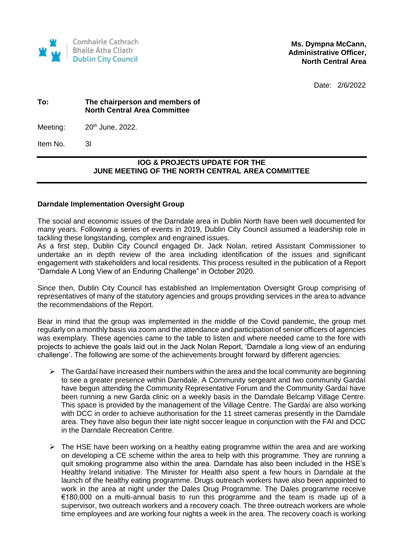

**Ms. Dympna McCann, Administrative Officer, North Central Area** 

Date: 2/6/2022

## **To: The chairperson and members of North Central Area Committee**

Meeting:  $20<sup>th</sup>$  June, 2022.

Item No. 3I

## **IOG & PROJECTS UPDATE FOR THE JUNE MEETING OF THE NORTH CENTRAL AREA COMMITTEE**

## **Darndale Implementation Oversight Group**

The social and economic issues of the Darndale area in Dublin North have been well documented for many years. Following a series of events in 2019, Dublin City Council assumed a leadership role in tackling these longstanding, complex and engrained issues.

As a first step, Dublin City Council engaged Dr. Jack Nolan, retired Assistant Commissioner to undertake an in depth review of the area including identification of the issues and significant engagement with stakeholders and local residents. This process resulted in the publication of a Report "Darndale A Long View of an Enduring Challenge" in October 2020.

Since then, Dublin City Council has established an Implementation Oversight Group comprising of representatives of many of the statutory agencies and groups providing services in the area to advance the recommendations of the Report.

Bear in mind that the group was implemented in the middle of the Covid pandemic, the group met regularly on a monthly basis via zoom and the attendance and participation of senior officers of agencies was exemplary. These agencies came to the table to listen and where needed came to the fore with projects to achieve the goals laid out in the Jack Nolan Report, 'Darndale a long view of an enduring challenge'. The following are some of the achievements brought forward by different agencies:

- $\triangleright$  The Gardaí have increased their numbers within the area and the local community are beginning to see a greater presence within Darndale. A Community sergeant and two community Gardaí have begun attending the Community Representative Forum and the Community Gardaí have been running a new Garda clinic on a weekly basis in the Darndale Belcamp Village Centre. This space is provided by the management of the Village Centre. The Gardaí are also working with DCC in order to achieve authorisation for the 11 street cameras presently in the Darndale area. They have also begun their late night soccer league in conjunction with the FAI and DCC in the Darndale Recreation Centre.
- $\triangleright$  The HSE have been working on a healthy eating programme within the area and are working on developing a CE scheme within the area to help with this programme. They are running a quit smoking programme also within the area. Darndale has also been included in the HSE's Healthy Ireland initiative. The Minister for Health also spent a few hours in Darndale at the launch of the healthy eating programme. Drugs outreach workers have also been appointed to work in the area at night under the Dales Drug Programme. The Dales programme receive €180,000 on a multi-annual basis to run this programme and the team is made up of a supervisor, two outreach workers and a recovery coach. The three outreach workers are whole time employees and are working four nights a week in the area. The recovery coach is working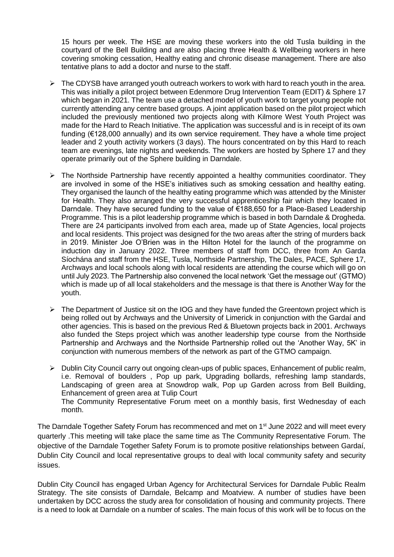15 hours per week. The HSE are moving these workers into the old Tusla building in the courtyard of the Bell Building and are also placing three Health & Wellbeing workers in here covering smoking cessation, Healthy eating and chronic disease management. There are also tentative plans to add a doctor and nurse to the staff.

- $\triangleright$  The CDYSB have arranged youth outreach workers to work with hard to reach youth in the area. This was initially a pilot project between Edenmore Drug Intervention Team (EDIT) & Sphere 17 which began in 2021. The team use a detached model of youth work to target young people not currently attending any centre based groups. A joint application based on the pilot project which included the previously mentioned two projects along with Kilmore West Youth Project was made for the Hard to Reach Initiative. The application was successful and is in receipt of its own funding (€128,000 annually) and its own service requirement. They have a whole time project leader and 2 youth activity workers (3 days). The hours concentrated on by this Hard to reach team are evenings, late nights and weekends. The workers are hosted by Sphere 17 and they operate primarily out of the Sphere building in Darndale.
- $\triangleright$  The Northside Partnership have recently appointed a healthy communities coordinator. They are involved in some of the HSE's initiatives such as smoking cessation and healthy eating. They organised the launch of the healthy eating programme which was attended by the Minister for Health. They also arranged the very successful apprenticeship fair which they located in Darndale. They have secured funding to the value of €188,650 for a Place-Based Leadership Programme. This is a pilot leadership programme which is based in both Darndale & Drogheda. There are 24 participants involved from each area, made up of State Agencies, local projects and local residents. This project was designed for the two areas after the string of murders back in 2019. Minister Joe O'Brien was in the Hilton Hotel for the launch of the programme on induction day in January 2022. Three members of staff from DCC, three from An Garda Síochána and staff from the HSE, Tusla, Northside Partnership, The Dales, PACE, Sphere 17, Archways and local schools along with local residents are attending the course which will go on until July 2023. The Partnership also convened the local network 'Get the message out' (GTMO) which is made up of all local stakeholders and the message is that there is Another Way for the youth.
- $\triangleright$  The Department of Justice sit on the IOG and they have funded the Greentown project which is being rolled out by Archways and the University of Limerick in conjunction with the Gardaí and other agencies. This is based on the previous Red & Bluetown projects back in 2001. Archways also funded the Steps project which was another leadership type course from the Northside Partnership and Archways and the Northside Partnership rolled out the 'Another Way, 5K' in conjunction with numerous members of the network as part of the GTMO campaign.
- $\triangleright$  Dublin City Council carry out ongoing clean-ups of public spaces, Enhancement of public realm, i.e. Removal of boulders , Pop up park, Upgrading bollards, refreshing lamp standards, Landscaping of green area at Snowdrop walk, Pop up Garden across from Bell Building, Enhancement of green area at Tulip Court The Community Representative Forum meet on a monthly basis, first Wednesday of each month.

The Darndale Together Safety Forum has recommenced and met on 1<sup>st</sup> June 2022 and will meet every quarterly .This meeting will take place the same time as The Community Representative Forum. The objective of the Darndale Together Safety Forum is to promote positive relationships between Gardaí, Dublin City Council and local representative groups to deal with local community safety and security issues.

Dublin City Council has engaged Urban Agency for Architectural Services for Darndale Public Realm Strategy. The site consists of Darndale, Belcamp and Moatview. A number of studies have been undertaken by DCC across the study area for consolidation of housing and community projects. There is a need to look at Darndale on a number of scales. The main focus of this work will be to focus on the